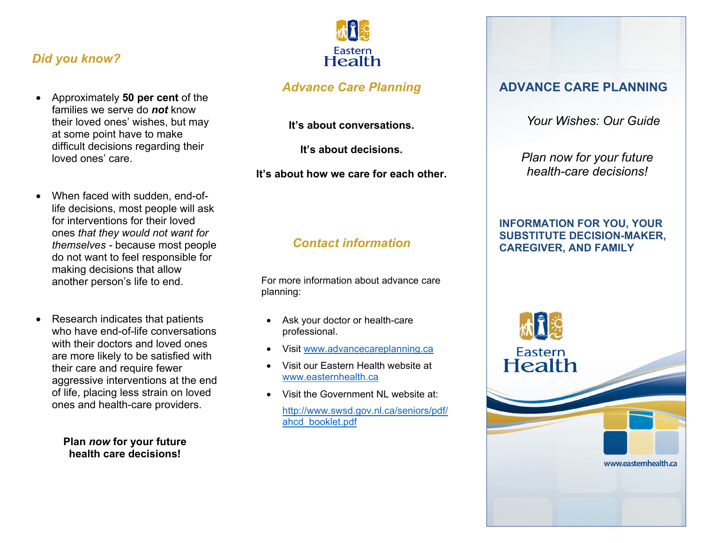### *Did you know?*

- Approximately **50 per cent** of the families we serve do *not* know their loved ones' wishes, but may at some point have to make difficult decisions regarding their loved ones' care.
- When faced with sudden, end-oflife decisions, most people will ask for interventions for their loved ones *that they would not want for themselves -* because most people do not want to feel responsible for making decisions that allow another person's life to end.
- Research indicates that patients who have end-of-life conversations with their doctors and loved ones are more likely to be satisfied with their care and require fewer aggressive interventions at the end of life, placing less strain on loved ones and health-care providers.

**Plan** *now* **for your future health care decisions!** 



### *Advance Care Planning*

**It's about conversations.** 

**It's about decisions.** 

**It's about how we care for each other.**

### *Contact information*

 For more information about advance care planning:

- Ask your doctor or health-care professional.
- Visit www.advancecareplanning.ca
- Visit our Eastern Health website at www.easternhealth.ca
- Visit the Government NL website at: http://www.swsd.gov.nl.ca/seniors/pdf/ ahcd\_booklet.pdf

#### **ADVANCE CARE PLANNING**

 *Your Wishes: Our Guide* 

*Plan now for your future health-care decisions!* 

#### **INFORMATION FOR YOU, YOUR SUBSTITUTE DECISION-MAKER, CAREGIVER, AND FAMILY**